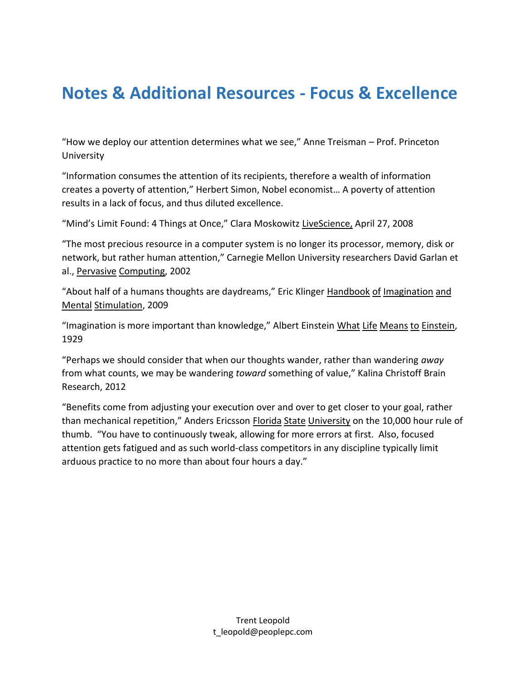## **Notes & Additional Resources - Focus & Excellence**

"How we deploy our attention determines what we see," Anne Treisman – Prof. Princeton University

"Information consumes the attention of its recipients, therefore a wealth of information creates a poverty of attention," Herbert Simon, Nobel economist… A poverty of attention results in a lack of focus, and thus diluted excellence.

"Mind's Limit Found: 4 Things at Once," Clara Moskowitz LiveScience, April 27, 2008

"The most precious resource in a computer system is no longer its processor, memory, disk or network, but rather human attention," Carnegie Mellon University researchers David Garlan et al., Pervasive Computing, 2002

"About half of a humans thoughts are daydreams," Eric Klinger Handbook of Imagination and Mental Stimulation, 2009

"Imagination is more important than knowledge," Albert Einstein What Life Means to Einstein, 1929

"Perhaps we should consider that when our thoughts wander, rather than wandering *away* from what counts, we may be wandering *toward* something of value," Kalina Christoff Brain Research, 2012

"Benefits come from adjusting your execution over and over to get closer to your goal, rather than mechanical repetition," Anders Ericsson Florida State University on the 10,000 hour rule of thumb. "You have to continuously tweak, allowing for more errors at first. Also, focused attention gets fatigued and as such world-class competitors in any discipline typically limit arduous practice to no more than about four hours a day."